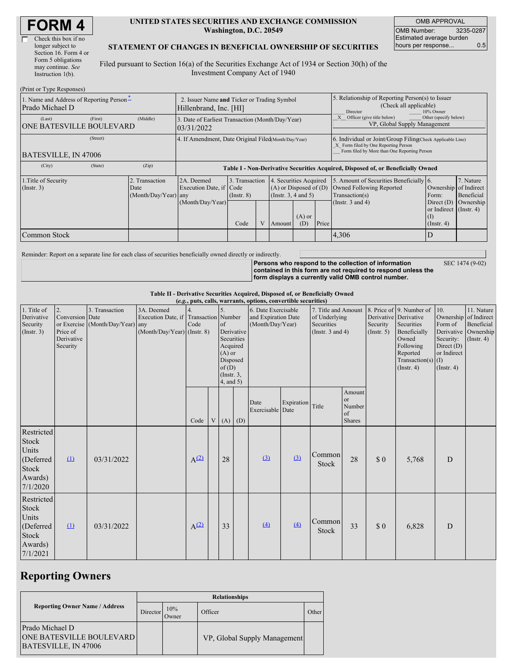| <b>FORM4</b> |
|--------------|
|--------------|

| Check this box if no  |
|-----------------------|
| longer subject to     |
| Section 16. Form 4 or |
| Form 5 obligations    |
| may continue. See     |
| Instruction $1(b)$ .  |
|                       |

 $(D_1, \ldots, T_n)$  or  $D_2$ .

#### **UNITED STATES SECURITIES AND EXCHANGE COMMISSION Washington, D.C. 20549**

OMB APPROVAL OMB Number: 3235-0287 Estimated average burden hours per response... 0.5

### **STATEMENT OF CHANGES IN BENEFICIAL OWNERSHIP OF SECURITIES**

Filed pursuant to Section 16(a) of the Securities Exchange Act of 1934 or Section 30(h) of the Investment Company Act of 1940

| (Print or Type Responses)                                          |                                                                       |                                                      |                                                                                                |                                                       |  |                                                                                                     |                 |                                                                                                                                                    |                                                                                                                |                                                                          |                                      |  |
|--------------------------------------------------------------------|-----------------------------------------------------------------------|------------------------------------------------------|------------------------------------------------------------------------------------------------|-------------------------------------------------------|--|-----------------------------------------------------------------------------------------------------|-----------------|----------------------------------------------------------------------------------------------------------------------------------------------------|----------------------------------------------------------------------------------------------------------------|--------------------------------------------------------------------------|--------------------------------------|--|
| 1. Name and Address of Reporting Person-<br>Prado Michael D        | 2. Issuer Name and Ticker or Trading Symbol<br>Hillenbrand, Inc. [HI] |                                                      |                                                                                                |                                                       |  | 5. Relationship of Reporting Person(s) to Issuer<br>(Check all applicable)<br>Director<br>10% Owner |                 |                                                                                                                                                    |                                                                                                                |                                                                          |                                      |  |
| (Last)<br><b>ONE BATESVILLE BOULEVARD</b>                          | (First)                                                               | (Middle)                                             | 3. Date of Earliest Transaction (Month/Day/Year)<br>03/31/2022                                 | Other (specify below)<br>VP, Global Supply Management |  |                                                                                                     |                 |                                                                                                                                                    |                                                                                                                |                                                                          |                                      |  |
| BATESVILLE, IN 47006                                               | (Street)                                                              | 4. If Amendment, Date Original Filed(Month/Day/Year) |                                                                                                |                                                       |  |                                                                                                     |                 | 6. Individual or Joint/Group Filing Check Applicable Line)<br>X Form filed by One Reporting Person<br>Form filed by More than One Reporting Person |                                                                                                                |                                                                          |                                      |  |
| (City)                                                             | (State)                                                               | (Zip)                                                | Table I - Non-Derivative Securities Acquired, Disposed of, or Beneficially Owned               |                                                       |  |                                                                                                     |                 |                                                                                                                                                    |                                                                                                                |                                                                          |                                      |  |
| 1. Title of Security<br>2. Transaction<br>$($ Instr. 3 $)$<br>Date |                                                                       | (Month/Day/Year) any                                 | 3. Transaction<br>2A. Deemed<br>Execution Date, if Code<br>$($ Instr. $8)$<br>(Month/Day/Year) |                                                       |  | 4. Securities Acquired<br>$(A)$ or Disposed of $(D)$<br>(Instr. 3, 4 and 5)                         |                 |                                                                                                                                                    | 5. Amount of Securities Beneficially 6.<br>Owned Following Reported<br>Transaction(s)<br>(Instr. $3$ and $4$ ) | Ownership of Indirect<br>Form:<br>Direct $(D)$<br>or Indirect (Instr. 4) | 7. Nature<br>Beneficial<br>Ownership |  |
|                                                                    |                                                                       |                                                      |                                                                                                | Code                                                  |  | Amount                                                                                              | $(A)$ or<br>(D) | Price                                                                                                                                              |                                                                                                                | $($ Instr. 4 $)$                                                         |                                      |  |
| Common Stock                                                       |                                                                       |                                                      |                                                                                                |                                                       |  |                                                                                                     |                 |                                                                                                                                                    | 4,306                                                                                                          |                                                                          |                                      |  |

Reminder: Report on a separate line for each class of securities beneficially owned directly or indirectly.

**Persons who respond to the collection of information contained in this form are not required to respond unless the form displays a currently valid OMB control number.** SEC 1474 (9-02)

**Table II - Derivative Securities Acquired, Disposed of, or Beneficially Owned**

| (e.g., puts, calls, warrants, options, convertible securities)                   |                                                             |                                                    |                                                                                      |                  |  |                                                                                                                     |            |                                                                |            |                                                                             |                                               |                         |                                                                                                                                                               |                                                                                |                                                                                          |
|----------------------------------------------------------------------------------|-------------------------------------------------------------|----------------------------------------------------|--------------------------------------------------------------------------------------|------------------|--|---------------------------------------------------------------------------------------------------------------------|------------|----------------------------------------------------------------|------------|-----------------------------------------------------------------------------|-----------------------------------------------|-------------------------|---------------------------------------------------------------------------------------------------------------------------------------------------------------|--------------------------------------------------------------------------------|------------------------------------------------------------------------------------------|
| 1. Title of<br>Derivative<br>Security<br>(Insert. 3)                             | 2.<br>Conversion Date<br>Price of<br>Derivative<br>Security | 3. Transaction<br>or Exercise (Month/Day/Year) any | 3A. Deemed<br>Execution Date, if Transaction Number<br>$(Month/Day/Year)$ (Instr. 8) | Code             |  | $\sigma$ f<br>Derivative<br>Securities<br>Acquired<br>$(A)$ or<br>Disposed<br>of(D)<br>$($ Instr. $3,$<br>4, and 5) |            | 6. Date Exercisable<br>and Expiration Date<br>(Month/Day/Year) |            | 7. Title and Amount<br>of Underlying<br>Securities<br>(Instr. $3$ and $4$ ) |                                               | Security<br>(Insert. 5) | 8. Price of 9. Number of<br>Derivative Derivative<br>Securities<br>Beneficially<br>Owned<br>Following<br>Reported<br>Transaction(s) $(I)$<br>$($ Instr. 4 $)$ | 10.<br>Form of<br>Security:<br>Direct $(D)$<br>or Indirect<br>$($ Instr. 4 $)$ | 11. Nature<br>Ownership of Indirect<br>Beneficial<br>Derivative Ownership<br>(Insert. 4) |
|                                                                                  |                                                             |                                                    |                                                                                      | Code             |  |                                                                                                                     | $V(A)$ (D) | Date<br>Exercisable Date                                       | Expiration | Title                                                                       | Amount<br>or<br>Number<br>of<br><b>Shares</b> |                         |                                                                                                                                                               |                                                                                |                                                                                          |
| <b>Restricted</b><br>Stock<br>Units<br>(Deferred<br>Stock<br>Awards)<br>7/1/2020 | $\Omega$                                                    | 03/31/2022                                         |                                                                                      | $A^{(2)}$        |  | 28                                                                                                                  |            | $\underline{3}$                                                | (3)        | Common<br><b>Stock</b>                                                      | 28                                            | $\sqrt{3}0$             | 5,768                                                                                                                                                         | D                                                                              |                                                                                          |
| Restricted<br>Stock<br>Units<br>(Deferred<br>Stock<br>Awards)<br>7/1/2021        | $\Omega$                                                    | 03/31/2022                                         |                                                                                      | A <sup>(2)</sup> |  | 33                                                                                                                  |            | (4)                                                            | (4)        | Common<br>Stock                                                             | 33                                            | $\$$ 0                  | 6,828                                                                                                                                                         | D                                                                              |                                                                                          |

## **Reporting Owners**

|                                                                            | <b>Relationships</b> |              |                              |         |  |  |  |  |  |  |
|----------------------------------------------------------------------------|----------------------|--------------|------------------------------|---------|--|--|--|--|--|--|
| <b>Reporting Owner Name / Address</b>                                      | Director             | 10%<br>Owner | Officer                      | Other I |  |  |  |  |  |  |
| Prado Michael D<br><b>ONE BATESVILLE BOULEVARD</b><br>BATESVILLE, IN 47006 |                      |              | VP, Global Supply Management |         |  |  |  |  |  |  |